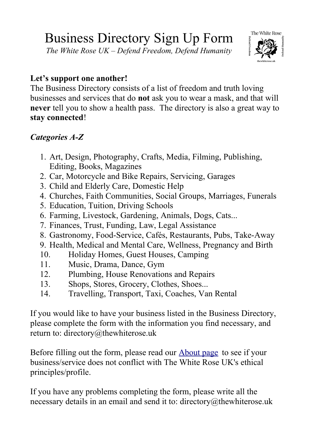## Business Directory Sign Up Form

*The White Rose UK – Defend Freedom, Defend Humanity*



## **Let's support one another!**

The Business Directory consists of a list of freedom and truth loving businesses and services that do **not** ask you to wear a mask, and that will **never** tell you to show a health pass. The directory is also a great way to **stay connected**!

## *Categories A-Z*

- 1. Art, Design, Photography, Crafts, Media, Filming, Publishing, Editing, Books, Magazines
- 2. Car, Motorcycle and Bike Repairs, Servicing, Garages
- 3. Child and Elderly Care, Domestic Help
- 4. Churches, Faith Communities, Social Groups, Marriages, Funerals
- 5. Education, Tuition, Driving Schools
- 6. Farming, Livestock, Gardening, Animals, Dogs, Cats...
- 7. Finances, Trust, Funding, Law, Legal Assistance
- 8. Gastronomy, Food-Service, Cafés, Restaurants, Pubs, Take-Away
- 9. Health, Medical and Mental Care, Wellness, Pregnancy and Birth
- 10. Holiday Homes, Guest Houses, Camping
- 11. Music, Drama, Dance, Gym
- 12. Plumbing, House Renovations and Repairs
- 13. Shops, Stores, Grocery, Clothes, Shoes...
- 14. Travelling, Transport, Taxi, Coaches, Van Rental

If you would like to have your business listed in the Business Directory, please complete the form with the information you find necessary, and return to: directory@thewhiterose.uk

Before filling out the form, please read our [About page](https://thewhiterose.uk/about/) to see if your business/service does not conflict with The White Rose UK's ethical principles/profile.

If you have any problems completing the form, please write all the necessary details in an email and send it to: directory@thewhiterose.uk